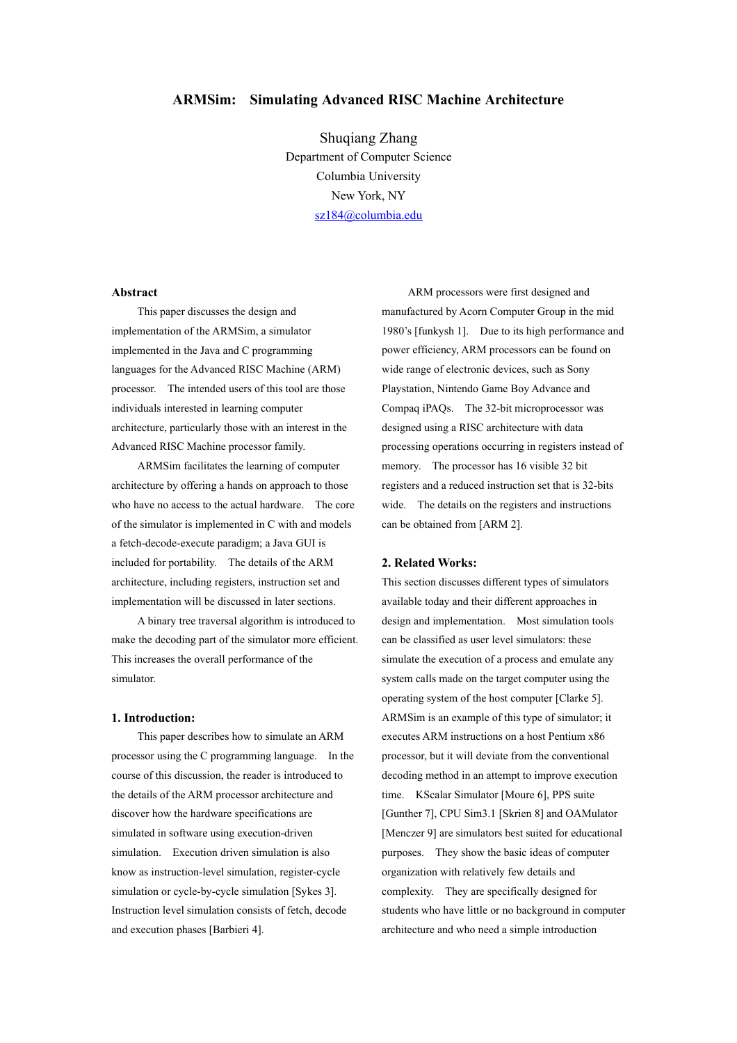# **ARMSim: Simulating Advanced RISC Machine Architecture**

Shuqiang Zhang Department of Computer Science Columbia University New York, NY [sz184@columbia.edu](mailto:sz1@columbia.edu)

### **Abstract**

This paper discusses the design and implementation of the ARMSim, a simulator implemented in the Java and C programming languages for the Advanced RISC Machine (ARM) processor. The intended users of this tool are those individuals interested in learning computer architecture, particularly those with an interest in the Advanced RISC Machine processor family.

ARMSim facilitates the learning of computer architecture by offering a hands on approach to those who have no access to the actual hardware. The core of the simulator is implemented in C with and models a fetch-decode-execute paradigm; a Java GUI is included for portability. The details of the ARM architecture, including registers, instruction set and implementation will be discussed in later sections.

 A binary tree traversal algorithm is introduced to make the decoding part of the simulator more efficient. This increases the overall performance of the simulator.

### **1. Introduction:**

This paper describes how to simulate an ARM processor using the C programming language. In the course of this discussion, the reader is introduced to the details of the ARM processor architecture and discover how the hardware specifications are simulated in software using execution-driven simulation. Execution driven simulation is also know as instruction-level simulation, register-cycle simulation or cycle-by-cycle simulation [Sykes 3]. Instruction level simulation consists of fetch, decode and execution phases [Barbieri 4].

ARM processors were first designed and manufactured by Acorn Computer Group in the mid 1980's [funkysh 1]. Due to its high performance and power efficiency, ARM processors can be found on wide range of electronic devices, such as Sony Playstation, Nintendo Game Boy Advance and Compaq iPAQs. The 32-bit microprocessor was designed using a RISC architecture with data processing operations occurring in registers instead of memory. The processor has 16 visible 32 bit registers and a reduced instruction set that is 32-bits wide. The details on the registers and instructions can be obtained from [ARM 2].

## **2. Related Works:**

This section discusses different types of simulators available today and their different approaches in design and implementation. Most simulation tools can be classified as user level simulators: these simulate the execution of a process and emulate any system calls made on the target computer using the operating system of the host computer [Clarke 5]. ARMSim is an example of this type of simulator; it executes ARM instructions on a host Pentium x86 processor, but it will deviate from the conventional decoding method in an attempt to improve execution time. KScalar Simulator [Moure 6], PPS suite [Gunther 7], CPU Sim3.1 [Skrien 8] and OAMulator [Menczer 9] are simulators best suited for educational purposes. They show the basic ideas of computer organization with relatively few details and complexity. They are specifically designed for students who have little or no background in computer architecture and who need a simple introduction